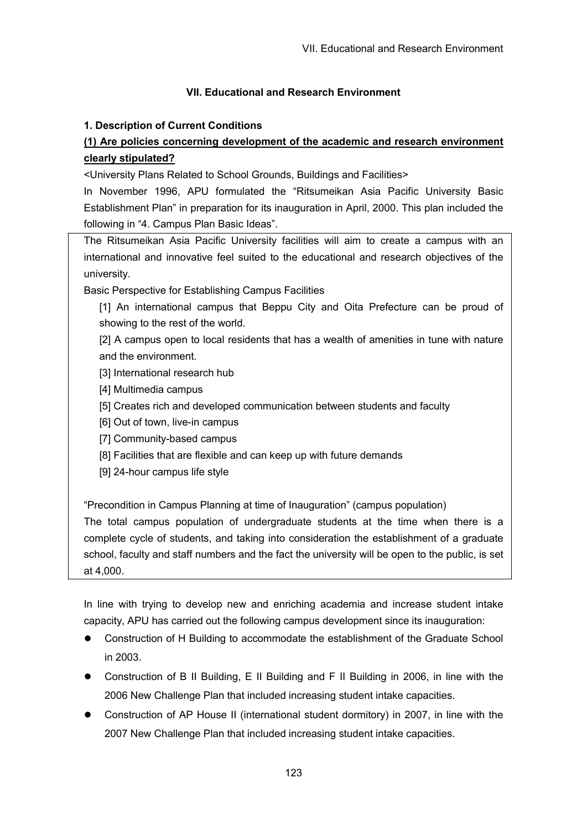# **VII. Educational and Research Environment**

# **1. Description of Current Conditions**

# **(1) Are policies concerning development of the academic and research environment clearly stipulated?**

<University Plans Related to School Grounds, Buildings and Facilities>

In November 1996, APU formulated the "Ritsumeikan Asia Pacific University Basic Establishment Plan" in preparation for its inauguration in April, 2000. This plan included the following in "4. Campus Plan Basic Ideas".

The Ritsumeikan Asia Pacific University facilities will aim to create a campus with an international and innovative feel suited to the educational and research objectives of the university.

Basic Perspective for Establishing Campus Facilities

[1] An international campus that Beppu City and Oita Prefecture can be proud of showing to the rest of the world.

[2] A campus open to local residents that has a wealth of amenities in tune with nature and the environment.

- [3] International research hub
- [4] Multimedia campus
- [5] Creates rich and developed communication between students and faculty
- [6] Out of town, live-in campus
- [7] Community-based campus
- [8] Facilities that are flexible and can keep up with future demands
- [9] 24-hour campus life style

"Precondition in Campus Planning at time of Inauguration" (campus population)

The total campus population of undergraduate students at the time when there is a complete cycle of students, and taking into consideration the establishment of a graduate school, faculty and staff numbers and the fact the university will be open to the public, is set at 4,000.

In line with trying to develop new and enriching academia and increase student intake capacity, APU has carried out the following campus development since its inauguration:

- Construction of H Building to accommodate the establishment of the Graduate School  $\bullet$ in 2003.
- Construction of B II Building, E II Building and F II Building in 2006, in line with the 2006 New Challenge Plan that included increasing student intake capacities.
- Construction of AP House II (international student dormitory) in 2007, in line with the 2007 New Challenge Plan that included increasing student intake capacities.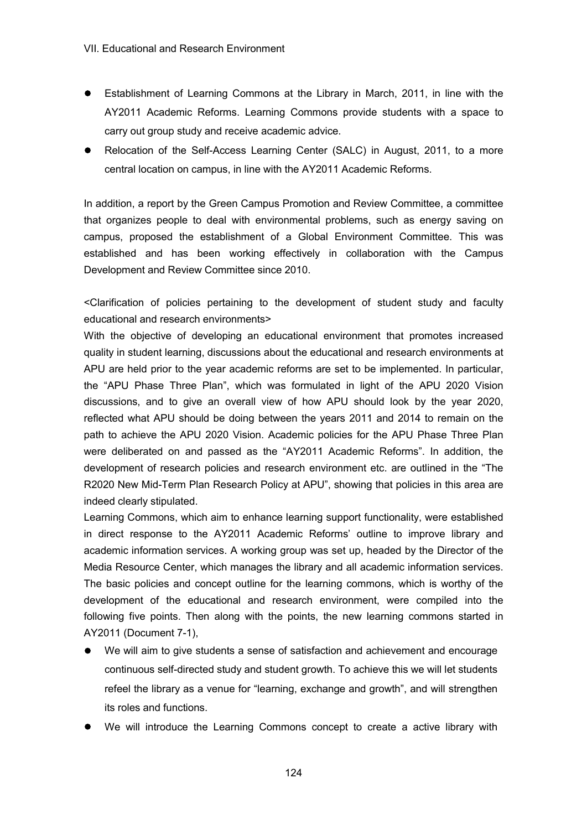- Establishment of Learning Commons at the Library in March, 2011, in line with the AY2011 Academic Reforms. Learning Commons provide students with a space to carry out group study and receive academic advice.
- Relocation of the Self-Access Learning Center (SALC) in August, 2011, to a more central location on campus, in line with the AY2011 Academic Reforms.

In addition, a report by the Green Campus Promotion and Review Committee, a committee that organizes people to deal with environmental problems, such as energy saving on campus, proposed the establishment of a Global Environment Committee. This was established and has been working effectively in collaboration with the Campus Development and Review Committee since 2010.

<Clarification of policies pertaining to the development of student study and faculty educational and research environments>

With the objective of developing an educational environment that promotes increased quality in student learning, discussions about the educational and research environments at APU are held prior to the year academic reforms are set to be implemented. In particular, the "APU Phase Three Plan", which was formulated in light of the APU 2020 Vision discussions, and to give an overall view of how APU should look by the year 2020, reflected what APU should be doing between the years 2011 and 2014 to remain on the path to achieve the APU 2020 Vision. Academic policies for the APU Phase Three Plan were deliberated on and passed as the "AY2011 Academic Reforms". In addition, the development of research policies and research environment etc. are outlined in the "The R2020 New Mid-Term Plan Research Policy at APU", showing that policies in this area are indeed clearly stipulated.

Learning Commons, which aim to enhance learning support functionality, were established in direct response to the AY2011 Academic Reforms' outline to improve library and academic information services. A working group was set up, headed by the Director of the Media Resource Center, which manages the library and all academic information services. The basic policies and concept outline for the learning commons, which is worthy of the development of the educational and research environment, were compiled into the following five points. Then along with the points, the new learning commons started in AY2011 (Document 7-1),

- $\bullet$ We will aim to give students a sense of satisfaction and achievement and encourage continuous self-directed study and student growth. To achieve this we will let students refeel the library as a venue for "learning, exchange and growth", and will strengthen its roles and functions.
- We will introduce the Learning Commons concept to create a active library with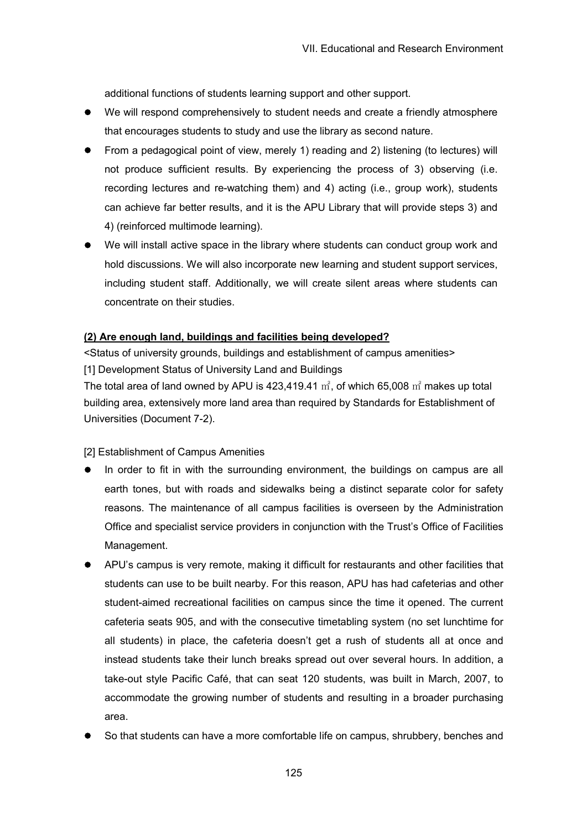additional functions of students learning support and other support.

- We will respond comprehensively to student needs and create a friendly atmosphere that encourages students to study and use the library as second nature.
- From a pedagogical point of view, merely 1) reading and 2) listening (to lectures) will not produce sufficient results. By experiencing the process of 3) observing (i.e. recording lectures and re-watching them) and 4) acting (i.e., group work), students can achieve far better results, and it is the APU Library that will provide steps 3) and 4) (reinforced multimode learning).
- We will install active space in the library where students can conduct group work and hold discussions. We will also incorporate new learning and student support services, including student staff. Additionally, we will create silent areas where students can concentrate on their studies.

# **(2) Are enough land, buildings and facilities being developed?**

<Status of university grounds, buildings and establishment of campus amenities> [1] Development Status of University Land and Buildings

The total area of land owned by APU is 423,419.41  $m^2$ , of which 65,008  $m^2$  makes up total building area, extensively more land area than required by Standards for Establishment of Universities (Document 7-2).

[2] Establishment of Campus Amenities

- In order to fit in with the surrounding environment, the buildings on campus are all earth tones, but with roads and sidewalks being a distinct separate color for safety reasons. The maintenance of all campus facilities is overseen by the Administration Office and specialist service providers in conjunction with the Trust's Office of Facilities Management.
- APU's campus is very remote, making it difficult for restaurants and other facilities that students can use to be built nearby. For this reason, APU has had cafeterias and other student-aimed recreational facilities on campus since the time it opened. The current cafeteria seats 905, and with the consecutive timetabling system (no set lunchtime for all students) in place, the cafeteria doesn't get a rush of students all at once and instead students take their lunch breaks spread out over several hours. In addition, a take-out style Pacific Café, that can seat 120 students, was built in March, 2007, to accommodate the growing number of students and resulting in a broader purchasing area.
- So that students can have a more comfortable life on campus, shrubbery, benches and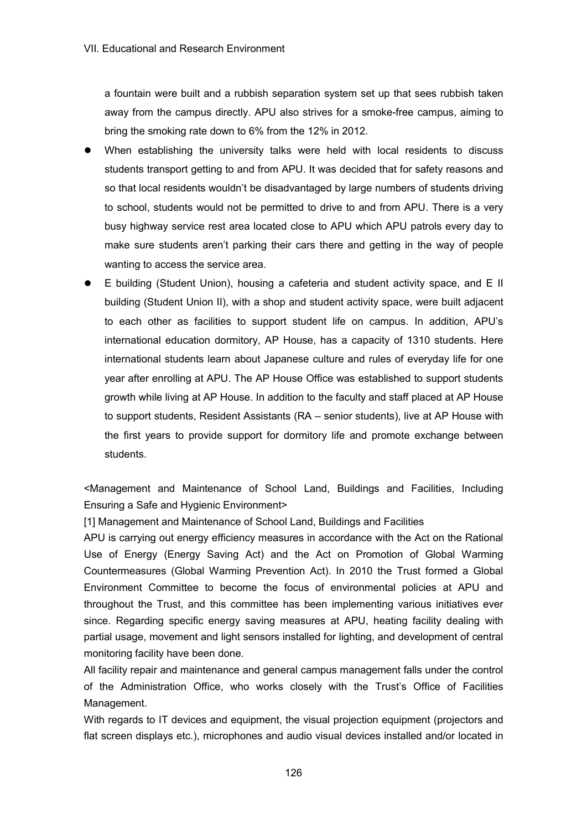a fountain were built and a rubbish separation system set up that sees rubbish taken away from the campus directly. APU also strives for a smoke-free campus, aiming to bring the smoking rate down to 6% from the 12% in 2012.

- When establishing the university talks were held with local residents to discuss students transport getting to and from APU. It was decided that for safety reasons and so that local residents wouldn't be disadvantaged by large numbers of students driving to school, students would not be permitted to drive to and from APU. There is a very busy highway service rest area located close to APU which APU patrols every day to make sure students aren't parking their cars there and getting in the way of people wanting to access the service area.
- E building (Student Union), housing a cafeteria and student activity space, and E II building (Student Union II), with a shop and student activity space, were built adjacent to each other as facilities to support student life on campus. In addition, APU's international education dormitory, AP House, has a capacity of 1310 students. Here international students learn about Japanese culture and rules of everyday life for one year after enrolling at APU. The AP House Office was established to support students growth while living at AP House. In addition to the faculty and staff placed at AP House to support students, Resident Assistants (RA – senior students), live at AP House with the first years to provide support for dormitory life and promote exchange between students.

<Management and Maintenance of School Land, Buildings and Facilities, Including Ensuring a Safe and Hygienic Environment>

[1] Management and Maintenance of School Land, Buildings and Facilities

APU is carrying out energy efficiency measures in accordance with the Act on the Rational Use of Energy (Energy Saving Act) and the Act on Promotion of Global Warming Countermeasures (Global Warming Prevention Act). In 2010 the Trust formed a Global Environment Committee to become the focus of environmental policies at APU and throughout the Trust, and this committee has been implementing various initiatives ever since. Regarding specific energy saving measures at APU, heating facility dealing with partial usage, movement and light sensors installed for lighting, and development of central monitoring facility have been done.

All facility repair and maintenance and general campus management falls under the control of the Administration Office, who works closely with the Trust's Office of Facilities Management.

With regards to IT devices and equipment, the visual projection equipment (projectors and flat screen displays etc.), microphones and audio visual devices installed and/or located in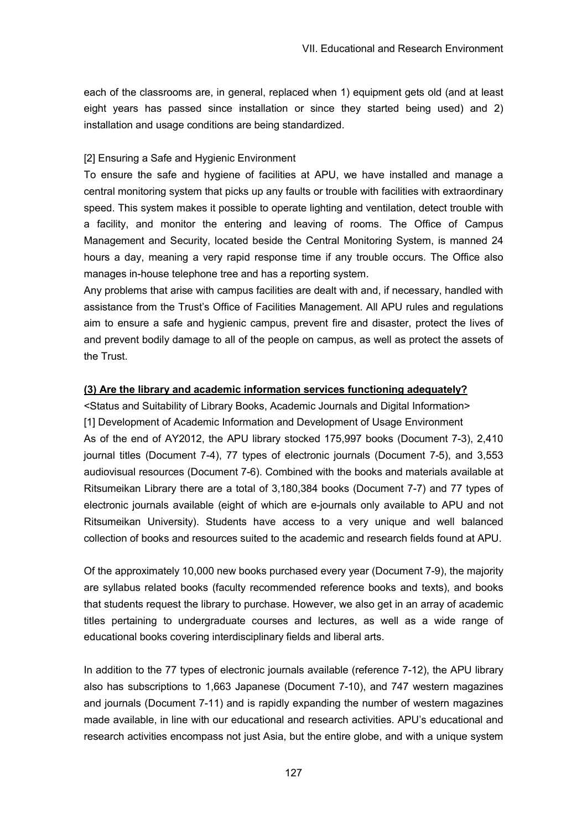each of the classrooms are, in general, replaced when 1) equipment gets old (and at least eight years has passed since installation or since they started being used) and 2) installation and usage conditions are being standardized.

## [2] Ensuring a Safe and Hygienic Environment

To ensure the safe and hygiene of facilities at APU, we have installed and manage a central monitoring system that picks up any faults or trouble with facilities with extraordinary speed. This system makes it possible to operate lighting and ventilation, detect trouble with a facility, and monitor the entering and leaving of rooms. The Office of Campus Management and Security, located beside the Central Monitoring System, is manned 24 hours a day, meaning a very rapid response time if any trouble occurs. The Office also manages in-house telephone tree and has a reporting system.

Any problems that arise with campus facilities are dealt with and, if necessary, handled with assistance from the Trust's Office of Facilities Management. All APU rules and regulations aim to ensure a safe and hygienic campus, prevent fire and disaster, protect the lives of and prevent bodily damage to all of the people on campus, as well as protect the assets of the Trust.

# **(3) Are the library and academic information services functioning adequately?**

<Status and Suitability of Library Books, Academic Journals and Digital Information> [1] Development of Academic Information and Development of Usage Environment As of the end of AY2012, the APU library stocked 175,997 books (Document 7-3), 2,410 journal titles (Document 7-4), 77 types of electronic journals (Document 7-5), and 3,553 audiovisual resources (Document 7-6). Combined with the books and materials available at Ritsumeikan Library there are a total of 3,180,384 books (Document 7-7) and 77 types of electronic journals available (eight of which are e-journals only available to APU and not Ritsumeikan University). Students have access to a very unique and well balanced collection of books and resources suited to the academic and research fields found at APU.

Of the approximately 10,000 new books purchased every year (Document 7-9), the majority are syllabus related books (faculty recommended reference books and texts), and books that students request the library to purchase. However, we also get in an array of academic titles pertaining to undergraduate courses and lectures, as well as a wide range of educational books covering interdisciplinary fields and liberal arts.

In addition to the 77 types of electronic journals available (reference 7-12), the APU library also has subscriptions to 1,663 Japanese (Document 7-10), and 747 western magazines and journals (Document 7-11) and is rapidly expanding the number of western magazines made available, in line with our educational and research activities. APU's educational and research activities encompass not just Asia, but the entire globe, and with a unique system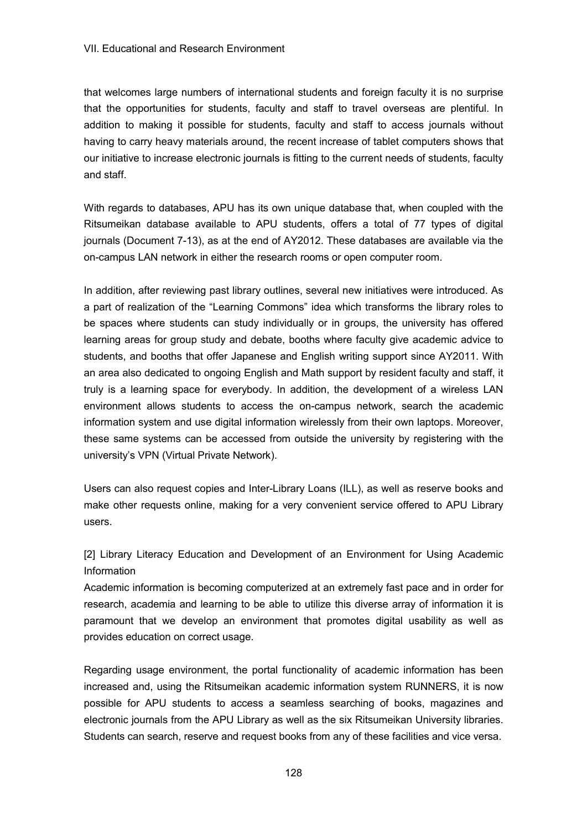that welcomes large numbers of international students and foreign faculty it is no surprise that the opportunities for students, faculty and staff to travel overseas are plentiful. In addition to making it possible for students, faculty and staff to access journals without having to carry heavy materials around, the recent increase of tablet computers shows that our initiative to increase electronic journals is fitting to the current needs of students, faculty and staff.

With regards to databases, APU has its own unique database that, when coupled with the Ritsumeikan database available to APU students, offers a total of 77 types of digital journals (Document 7-13), as at the end of AY2012. These databases are available via the on-campus LAN network in either the research rooms or open computer room.

In addition, after reviewing past library outlines, several new initiatives were introduced. As a part of realization of the "Learning Commons" idea which transforms the library roles to be spaces where students can study individually or in groups, the university has offered learning areas for group study and debate, booths where faculty give academic advice to students, and booths that offer Japanese and English writing support since AY2011. With an area also dedicated to ongoing English and Math support by resident faculty and staff, it truly is a learning space for everybody. In addition, the development of a wireless LAN environment allows students to access the on-campus network, search the academic information system and use digital information wirelessly from their own laptops. Moreover, these same systems can be accessed from outside the university by registering with the university's VPN (Virtual Private Network).

Users can also request copies and Inter-Library Loans (ILL), as well as reserve books and make other requests online, making for a very convenient service offered to APU Library users.

[2] Library Literacy Education and Development of an Environment for Using Academic Information

Academic information is becoming computerized at an extremely fast pace and in order for research, academia and learning to be able to utilize this diverse array of information it is paramount that we develop an environment that promotes digital usability as well as provides education on correct usage.

Regarding usage environment, the portal functionality of academic information has been increased and, using the Ritsumeikan academic information system RUNNERS, it is now possible for APU students to access a seamless searching of books, magazines and electronic journals from the APU Library as well as the six Ritsumeikan University libraries. Students can search, reserve and request books from any of these facilities and vice versa.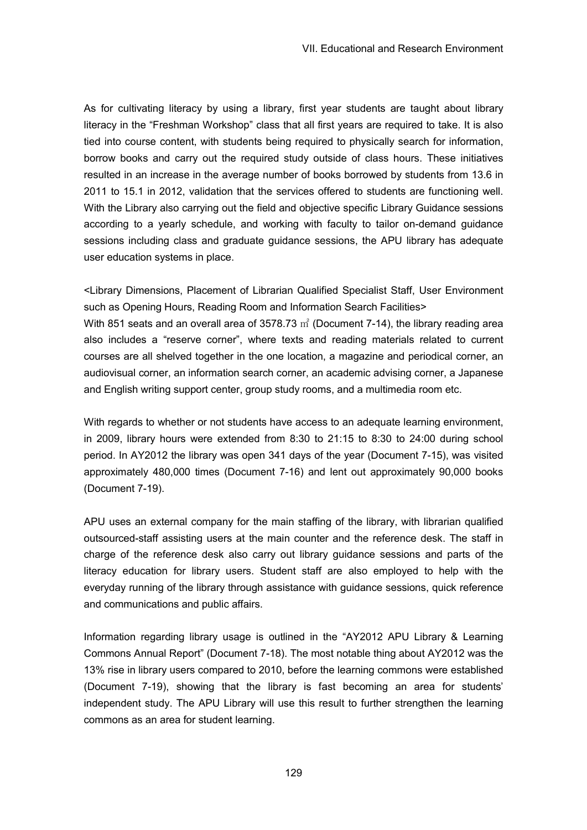As for cultivating literacy by using a library, first year students are taught about library literacy in the "Freshman Workshop" class that all first years are required to take. It is also tied into course content, with students being required to physically search for information, borrow books and carry out the required study outside of class hours. These initiatives resulted in an increase in the average number of books borrowed by students from 13.6 in 2011 to 15.1 in 2012, validation that the services offered to students are functioning well. With the Library also carrying out the field and objective specific Library Guidance sessions according to a yearly schedule, and working with faculty to tailor on-demand guidance sessions including class and graduate guidance sessions, the APU library has adequate user education systems in place.

<Library Dimensions, Placement of Librarian Qualified Specialist Staff, User Environment such as Opening Hours, Reading Room and Information Search Facilities> With 851 seats and an overall area of 3578.73  $\vec{m}$  (Document 7-14), the library reading area also includes a "reserve corner", where texts and reading materials related to current courses are all shelved together in the one location, a magazine and periodical corner, an audiovisual corner, an information search corner, an academic advising corner, a Japanese and English writing support center, group study rooms, and a multimedia room etc.

With regards to whether or not students have access to an adequate learning environment, in 2009, library hours were extended from 8:30 to 21:15 to 8:30 to 24:00 during school period. In AY2012 the library was open 341 days of the year (Document 7-15), was visited approximately 480,000 times (Document 7-16) and lent out approximately 90,000 books (Document 7-19).

APU uses an external company for the main staffing of the library, with librarian qualified outsourced-staff assisting users at the main counter and the reference desk. The staff in charge of the reference desk also carry out library guidance sessions and parts of the literacy education for library users. Student staff are also employed to help with the everyday running of the library through assistance with guidance sessions, quick reference and communications and public affairs.

Information regarding library usage is outlined in the "AY2012 APU Library & Learning Commons Annual Report" (Document 7-18). The most notable thing about AY2012 was the 13% rise in library users compared to 2010, before the learning commons were established (Document 7-19), showing that the library is fast becoming an area for students' independent study. The APU Library will use this result to further strengthen the learning commons as an area for student learning.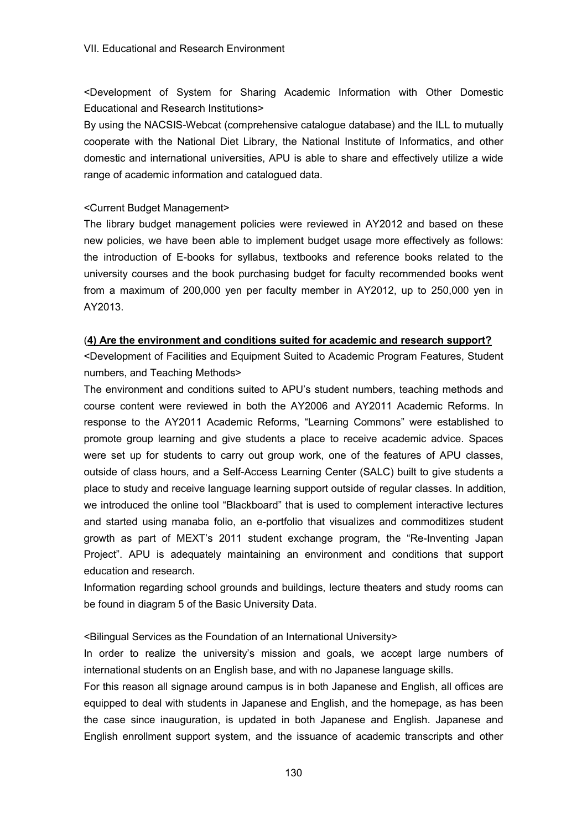<Development of System for Sharing Academic Information with Other Domestic Educational and Research Institutions>

By using the NACSIS-Webcat (comprehensive catalogue database) and the ILL to mutually cooperate with the National Diet Library, the National Institute of Informatics, and other domestic and international universities, APU is able to share and effectively utilize a wide range of academic information and catalogued data.

## <Current Budget Management>

The library budget management policies were reviewed in AY2012 and based on these new policies, we have been able to implement budget usage more effectively as follows: the introduction of E-books for syllabus, textbooks and reference books related to the university courses and the book purchasing budget for faculty recommended books went from a maximum of 200,000 yen per faculty member in AY2012, up to 250,000 yen in AY2013.

# (**4) Are the environment and conditions suited for academic and research support?**

<Development of Facilities and Equipment Suited to Academic Program Features, Student numbers, and Teaching Methods>

The environment and conditions suited to APU's student numbers, teaching methods and course content were reviewed in both the AY2006 and AY2011 Academic Reforms. In response to the AY2011 Academic Reforms, "Learning Commons" were established to promote group learning and give students a place to receive academic advice. Spaces were set up for students to carry out group work, one of the features of APU classes, outside of class hours, and a Self-Access Learning Center (SALC) built to give students a place to study and receive language learning support outside of regular classes. In addition, we introduced the online tool "Blackboard" that is used to complement interactive lectures and started using manaba folio, an e-portfolio that visualizes and commoditizes student growth as part of MEXT's 2011 student exchange program, the "Re-Inventing Japan Project". APU is adequately maintaining an environment and conditions that support education and research.

Information regarding school grounds and buildings, lecture theaters and study rooms can be found in diagram 5 of the Basic University Data.

<Bilingual Services as the Foundation of an International University>

In order to realize the university's mission and goals, we accept large numbers of international students on an English base, and with no Japanese language skills.

For this reason all signage around campus is in both Japanese and English, all offices are equipped to deal with students in Japanese and English, and the homepage, as has been the case since inauguration, is updated in both Japanese and English. Japanese and English enrollment support system, and the issuance of academic transcripts and other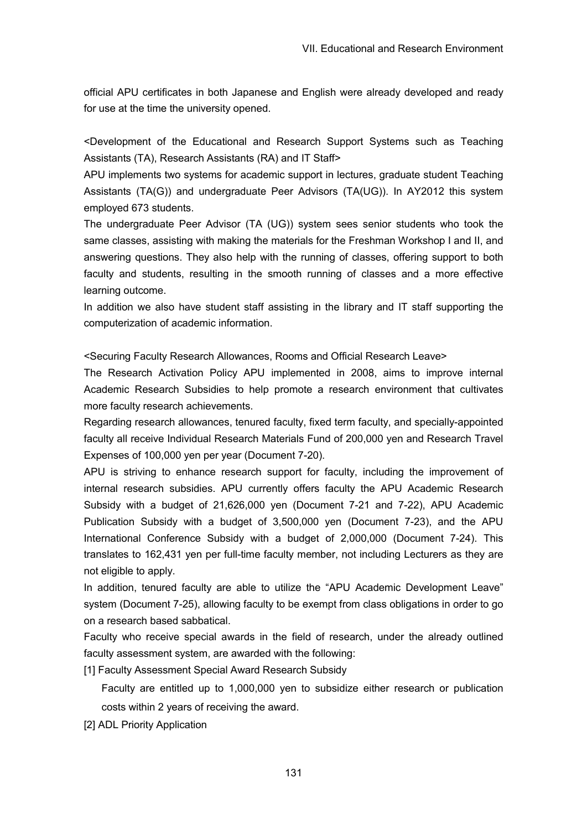official APU certificates in both Japanese and English were already developed and ready for use at the time the university opened.

<Development of the Educational and Research Support Systems such as Teaching Assistants (TA), Research Assistants (RA) and IT Staff>

APU implements two systems for academic support in lectures, graduate student Teaching Assistants (TA(G)) and undergraduate Peer Advisors (TA(UG)). In AY2012 this system employed 673 students.

The undergraduate Peer Advisor (TA (UG)) system sees senior students who took the same classes, assisting with making the materials for the Freshman Workshop I and II, and answering questions. They also help with the running of classes, offering support to both faculty and students, resulting in the smooth running of classes and a more effective learning outcome.

In addition we also have student staff assisting in the library and IT staff supporting the computerization of academic information.

<Securing Faculty Research Allowances, Rooms and Official Research Leave>

The Research Activation Policy APU implemented in 2008, aims to improve internal Academic Research Subsidies to help promote a research environment that cultivates more faculty research achievements.

Regarding research allowances, tenured faculty, fixed term faculty, and specially-appointed faculty all receive Individual Research Materials Fund of 200,000 yen and Research Travel Expenses of 100,000 yen per year (Document 7-20).

APU is striving to enhance research support for faculty, including the improvement of internal research subsidies. APU currently offers faculty the APU Academic Research Subsidy with a budget of 21,626,000 yen (Document 7-21 and 7-22), APU Academic Publication Subsidy with a budget of 3,500,000 yen (Document 7-23), and the APU International Conference Subsidy with a budget of 2,000,000 (Document 7-24). This translates to 162,431 yen per full-time faculty member, not including Lecturers as they are not eligible to apply.

In addition, tenured faculty are able to utilize the "APU Academic Development Leave" system (Document 7-25), allowing faculty to be exempt from class obligations in order to go on a research based sabbatical.

Faculty who receive special awards in the field of research, under the already outlined faculty assessment system, are awarded with the following:

[1] Faculty Assessment Special Award Research Subsidy

Faculty are entitled up to 1,000,000 yen to subsidize either research or publication costs within 2 years of receiving the award.

[2] ADL Priority Application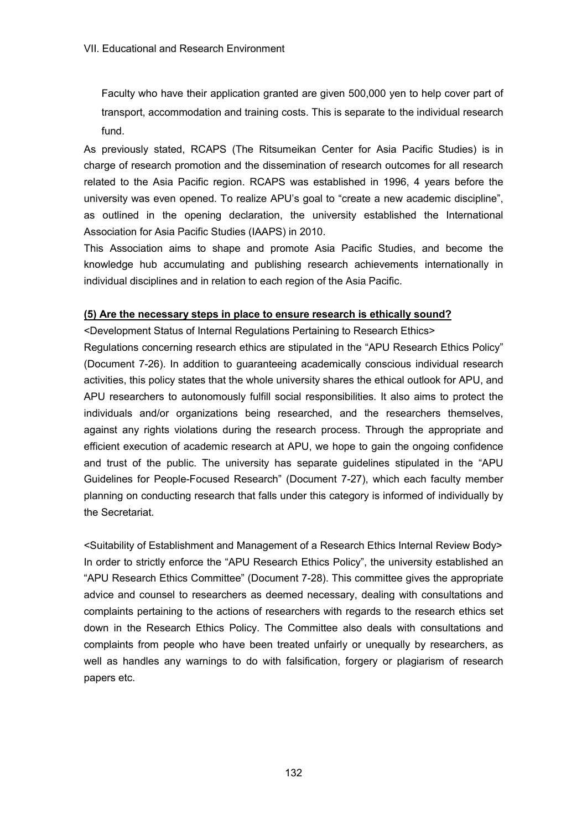Faculty who have their application granted are given 500,000 yen to help cover part of transport, accommodation and training costs. This is separate to the individual research fund.

As previously stated, RCAPS (The Ritsumeikan Center for Asia Pacific Studies) is in charge of research promotion and the dissemination of research outcomes for all research related to the Asia Pacific region. RCAPS was established in 1996, 4 years before the university was even opened. To realize APU's goal to "create a new academic discipline", as outlined in the opening declaration, the university established the International Association for Asia Pacific Studies (IAAPS) in 2010.

This Association aims to shape and promote Asia Pacific Studies, and become the knowledge hub accumulating and publishing research achievements internationally in individual disciplines and in relation to each region of the Asia Pacific.

# **(5) Are the necessary steps in place to ensure research is ethically sound?**

<Development Status of Internal Regulations Pertaining to Research Ethics>

Regulations concerning research ethics are stipulated in the "APU Research Ethics Policy" (Document 7-26). In addition to guaranteeing academically conscious individual research activities, this policy states that the whole university shares the ethical outlook for APU, and APU researchers to autonomously fulfill social responsibilities. It also aims to protect the individuals and/or organizations being researched, and the researchers themselves, against any rights violations during the research process. Through the appropriate and efficient execution of academic research at APU, we hope to gain the ongoing confidence and trust of the public. The university has separate guidelines stipulated in the "APU Guidelines for People-Focused Research" (Document 7-27), which each faculty member planning on conducting research that falls under this category is informed of individually by the Secretariat.

<Suitability of Establishment and Management of a Research Ethics Internal Review Body> In order to strictly enforce the "APU Research Ethics Policy", the university established an "APU Research Ethics Committee" (Document 7-28). This committee gives the appropriate advice and counsel to researchers as deemed necessary, dealing with consultations and complaints pertaining to the actions of researchers with regards to the research ethics set down in the Research Ethics Policy. The Committee also deals with consultations and complaints from people who have been treated unfairly or unequally by researchers, as well as handles any warnings to do with falsification, forgery or plagiarism of research papers etc.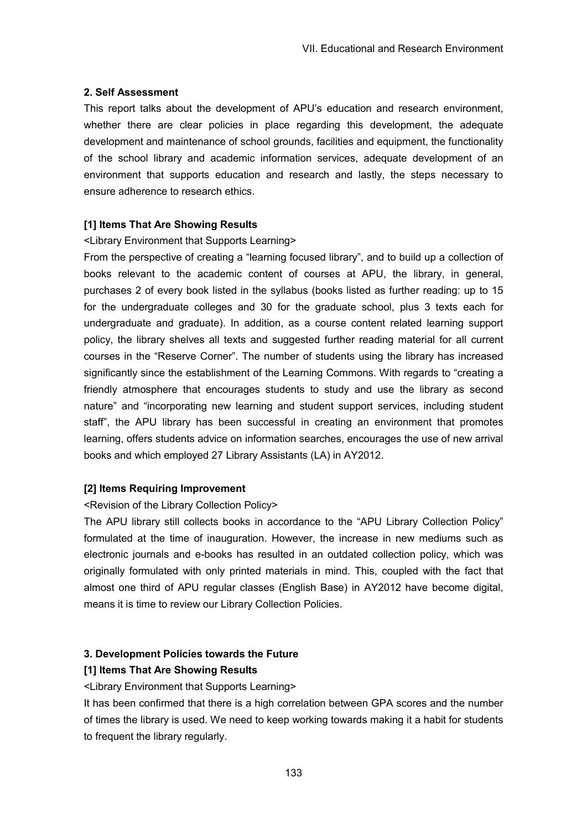#### **2. Self Assessment**

This report talks about the development of APU's education and research environment, whether there are clear policies in place regarding this development, the adequate development and maintenance of school grounds, facilities and equipment, the functionality of the school library and academic information services, adequate development of an environment that supports education and research and lastly, the steps necessary to ensure adherence to research ethics.

## **[1] Items That Are Showing Results**

#### <Library Environment that Supports Learning>

From the perspective of creating a "learning focused library", and to build up a collection of books relevant to the academic content of courses at APU, the library, in general, purchases 2 of every book listed in the syllabus (books listed as further reading: up to 15 for the undergraduate colleges and 30 for the graduate school, plus 3 texts each for undergraduate and graduate). In addition, as a course content related learning support policy, the library shelves all texts and suggested further reading material for all current courses in the "Reserve Corner". The number of students using the library has increased significantly since the establishment of the Learning Commons. With regards to "creating a friendly atmosphere that encourages students to study and use the library as second nature" and "incorporating new learning and student support services, including student staff", the APU library has been successful in creating an environment that promotes learning, offers students advice on information searches, encourages the use of new arrival books and which employed 27 Library Assistants (LA) in AY2012.

# **[2] Items Requiring Improvement**

# <Revision of the Library Collection Policy>

The APU library still collects books in accordance to the "APU Library Collection Policy" formulated at the time of inauguration. However, the increase in new mediums such as electronic journals and e-books has resulted in an outdated collection policy, which was originally formulated with only printed materials in mind. This, coupled with the fact that almost one third of APU regular classes (English Base) in AY2012 have become digital, means it is time to review our Library Collection Policies.

# **3. Development Policies towards the Future**

# **[1] Items That Are Showing Results**

<Library Environment that Supports Learning>

It has been confirmed that there is a high correlation between GPA scores and the number of times the library is used. We need to keep working towards making it a habit for students to frequent the library regularly.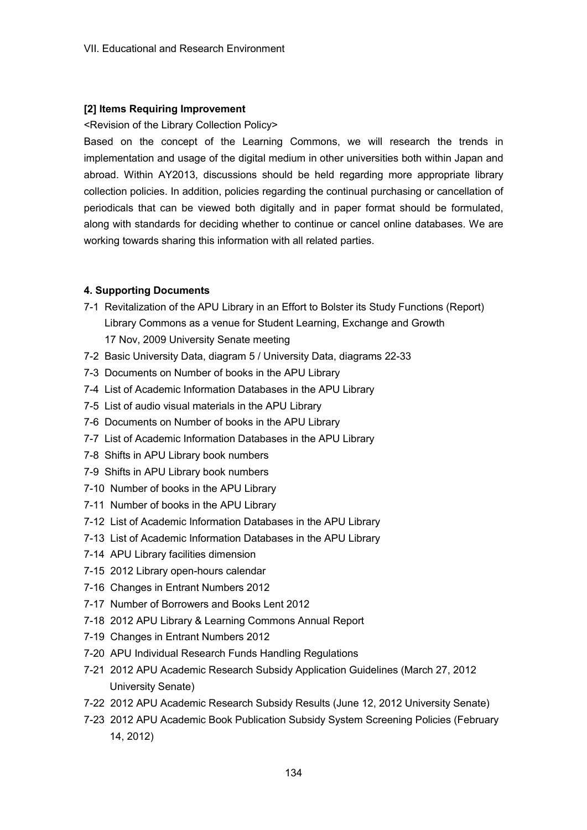## **[2] Items Requiring Improvement**

#### <Revision of the Library Collection Policy>

Based on the concept of the Learning Commons, we will research the trends in implementation and usage of the digital medium in other universities both within Japan and abroad. Within AY2013, discussions should be held regarding more appropriate library collection policies. In addition, policies regarding the continual purchasing or cancellation of periodicals that can be viewed both digitally and in paper format should be formulated, along with standards for deciding whether to continue or cancel online databases. We are working towards sharing this information with all related parties.

#### **4. Supporting Documents**

- 7-1 Revitalization of the APU Library in an Effort to Bolster its Study Functions (Report) Library Commons as a venue for Student Learning, Exchange and Growth
	- 17 Nov, 2009 University Senate meeting
- 7-2 Basic University Data, diagram 5 / University Data, diagrams 22-33
- 7-3 Documents on Number of books in the APU Library
- 7-4 List of Academic Information Databases in the APU Library
- 7-5 List of audio visual materials in the APU Library
- 7-6 Documents on Number of books in the APU Library
- 7-7 List of Academic Information Databases in the APU Library
- 7-8 Shifts in APU Library book numbers
- 7-9 Shifts in APU Library book numbers
- 7-10 Number of books in the APU Library
- 7-11 Number of books in the APU Library
- 7-12 List of Academic Information Databases in the APU Library
- 7-13 List of Academic Information Databases in the APU Library
- 7-14 APU Library facilities dimension
- 7-15 2012 Library open-hours calendar
- 7-16 Changes in Entrant Numbers 2012
- 7-17 Number of Borrowers and Books Lent 2012
- 7-18 2012 APU Library & Learning Commons Annual Report
- 7-19 Changes in Entrant Numbers 2012
- 7-20 APU Individual Research Funds Handling Regulations
- 7-21 2012 APU Academic Research Subsidy Application Guidelines (March 27, 2012 University Senate)
- 7-22 2012 APU Academic Research Subsidy Results (June 12, 2012 University Senate)
- 7-23 2012 APU Academic Book Publication Subsidy System Screening Policies (February 14, 2012)